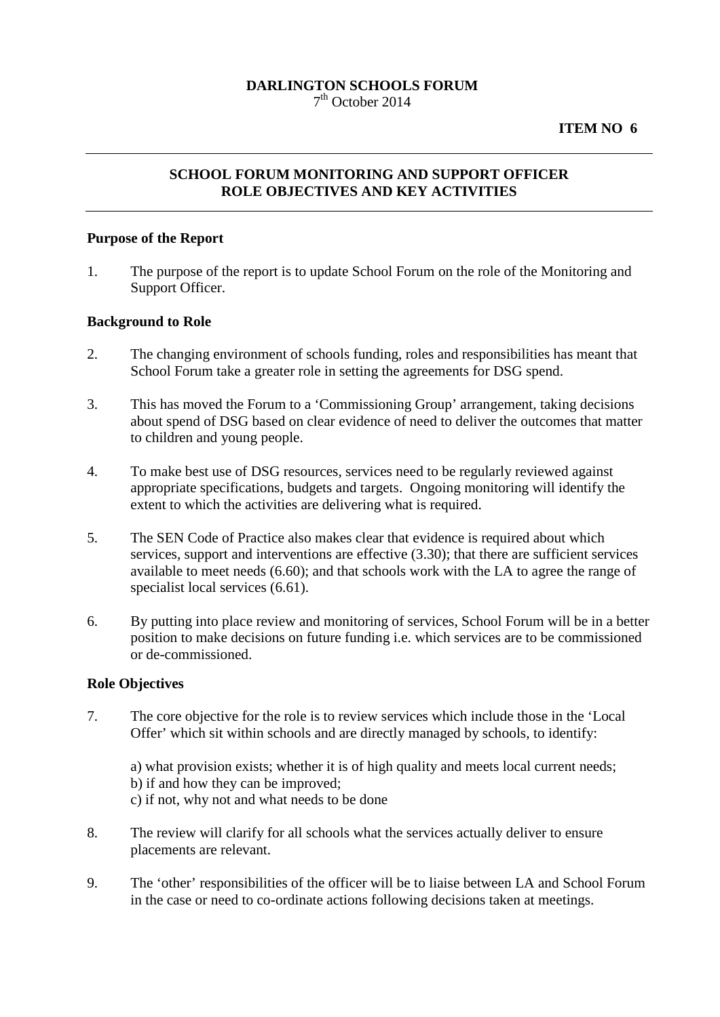## **DARLINGTON SCHOOLS FORUM**  $7<sup>th</sup>$  October 2014

# **ITEM NO 6**

# **SCHOOL FORUM MONITORING AND SUPPORT OFFICER ROLE OBJECTIVES AND KEY ACTIVITIES**

### **Purpose of the Report**

1. The purpose of the report is to update School Forum on the role of the Monitoring and Support Officer.

#### **Background to Role**

- 2. The changing environment of schools funding, roles and responsibilities has meant that School Forum take a greater role in setting the agreements for DSG spend.
- 3. This has moved the Forum to a 'Commissioning Group' arrangement, taking decisions about spend of DSG based on clear evidence of need to deliver the outcomes that matter to children and young people.
- 4. To make best use of DSG resources, services need to be regularly reviewed against appropriate specifications, budgets and targets. Ongoing monitoring will identify the extent to which the activities are delivering what is required.
- 5. The SEN Code of Practice also makes clear that evidence is required about which services, support and interventions are effective  $(3.30)$ ; that there are sufficient services available to meet needs (6.60); and that schools work with the LA to agree the range of specialist local services  $(6.61)$ .
- 6. By putting into place review and monitoring of services, School Forum will be in a better position to make decisions on future funding i.e. which services are to be commissioned or de-commissioned.

#### **Role Objectives**

7. The core objective for the role is to review services which include those in the 'Local Offer' which sit within schools and are directly managed by schools, to identify:

a) what provision exists; whether it is of high quality and meets local current needs; b) if and how they can be improved; c) if not, why not and what needs to be done

- 8. The review will clarify for all schools what the services actually deliver to ensure placements are relevant.
- 9. The 'other' responsibilities of the officer will be to liaise between LA and School Forum in the case or need to co-ordinate actions following decisions taken at meetings.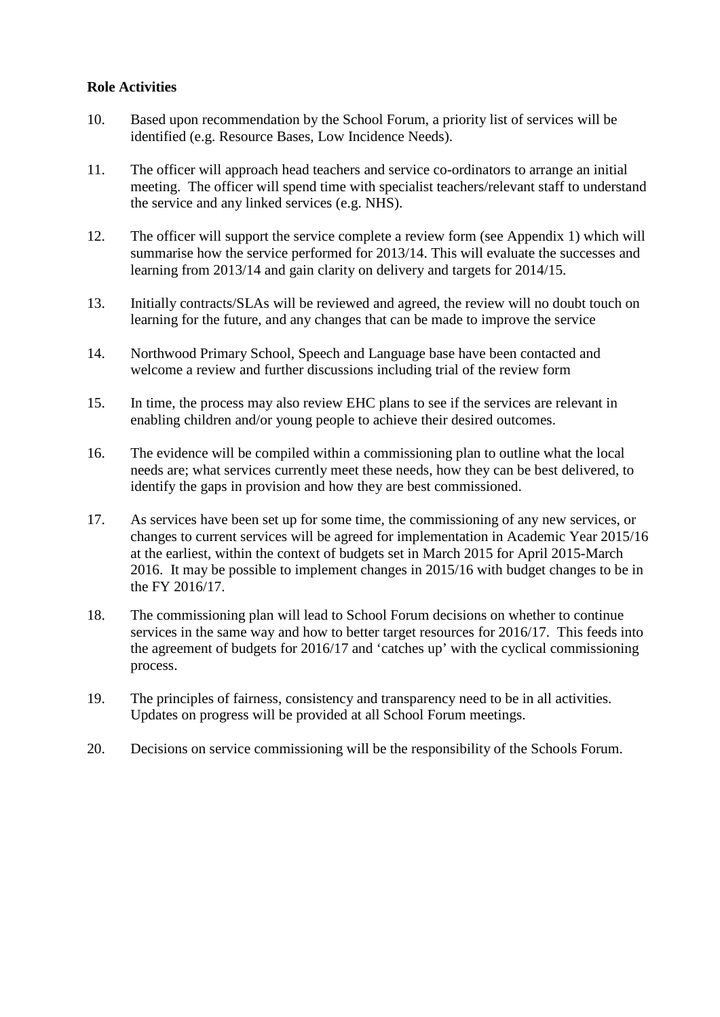## **Role Activities**

- 10. Based upon recommendation by the School Forum, a priority list of services will be identified (e.g. Resource Bases, Low Incidence Needs).
- 11. The officer will approach head teachers and service co-ordinators to arrange an initial meeting. The officer will spend time with specialist teachers/relevant staff to understand the service and any linked services (e.g. NHS).
- 12. The officer will support the service complete a review form (see Appendix 1) which will summarise how the service performed for 2013/14. This will evaluate the successes and learning from 2013/14 and gain clarity on delivery and targets for 2014/15.
- 13. Initially contracts/SLAs will be reviewed and agreed, the review will no doubt touch on learning for the future, and any changes that can be made to improve the service
- 14. Northwood Primary School, Speech and Language base have been contacted and welcome a review and further discussions including trial of the review form
- 15. In time, the process may also review EHC plans to see if the services are relevant in enabling children and/or young people to achieve their desired outcomes.
- 16. The evidence will be compiled within a commissioning plan to outline what the local needs are; what services currently meet these needs, how they can be best delivered, to identify the gaps in provision and how they are best commissioned.
- 17. As services have been set up for some time, the commissioning of any new services, or changes to current services will be agreed for implementation in Academic Year 2015/16 at the earliest, within the context of budgets set in March 2015 for April 2015-March 2016. It may be possible to implement changes in 2015/16 with budget changes to be in the FY 2016/17.
- 18. The commissioning plan will lead to School Forum decisions on whether to continue services in the same way and how to better target resources for 2016/17. This feeds into the agreement of budgets for 2016/17 and 'catches up' with the cyclical commissioning process.
- 19. The principles of fairness, consistency and transparency need to be in all activities. Updates on progress will be provided at all School Forum meetings.
- 20. Decisions on service commissioning will be the responsibility of the Schools Forum.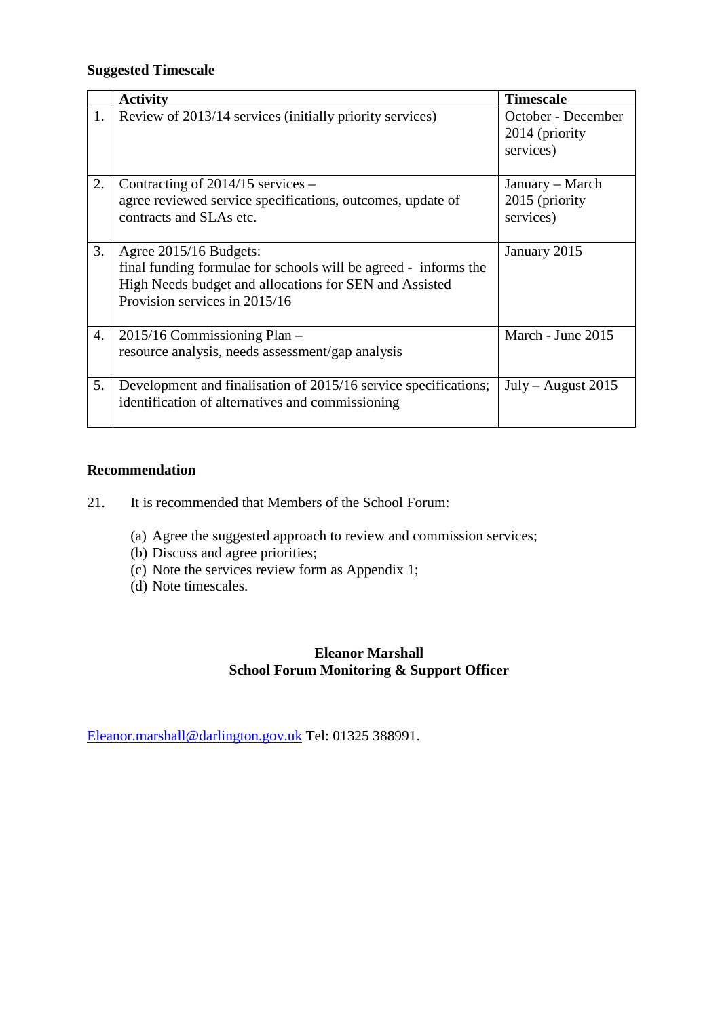# **Suggested Timescale**

|    | <b>Activity</b>                                                                                                                                                                      | <b>Timescale</b>                                  |
|----|--------------------------------------------------------------------------------------------------------------------------------------------------------------------------------------|---------------------------------------------------|
| 1. | Review of 2013/14 services (initially priority services)                                                                                                                             | October - December<br>2014 (priority<br>services) |
| 2. | Contracting of $2014/15$ services –<br>agree reviewed service specifications, outcomes, update of<br>contracts and SLAs etc.                                                         | January – March<br>2015 (priority<br>services)    |
| 3. | Agree 2015/16 Budgets:<br>final funding formulae for schools will be agreed - informs the<br>High Needs budget and allocations for SEN and Assisted<br>Provision services in 2015/16 | January 2015                                      |
| 4. | 2015/16 Commissioning Plan -<br>resource analysis, needs assessment/gap analysis                                                                                                     | March - June 2015                                 |
| 5. | Development and finalisation of 2015/16 service specifications;<br>identification of alternatives and commissioning                                                                  | $July - August 2015$                              |

# **Recommendation**

- 21. It is recommended that Members of the School Forum:
	- (a) Agree the suggested approach to review and commission services;
	- (b) Discuss and agree priorities;
	- (c) Note the services review form as Appendix 1;
	- (d) Note timescales.

# **Eleanor Marshall School Forum Monitoring & Support Officer**

[Eleanor.marshall@darlington.gov.uk](mailto:Eleanor.marshall@darlington.gov.uk) Tel: 01325 388991.